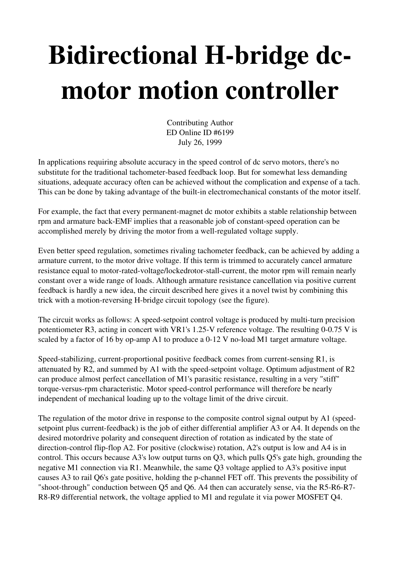## Bidirectional H-bridge dcmotor motion controller

Contributing Author ED Online ID #6199 July 26, 1999

In applications requiring absolute accuracy in the speed control of dc servo motors, there's no substitute for the traditional tachometer-based feedback loop. But for somewhat less demanding situations, adequate accuracy often can be achieved without the complication and expense of a tach. This can be done by taking advantage of the built-in electromechanical constants of the motor itself.

For example, the fact that every permanent-magnet dc motor exhibits a stable relationship between rpm and armature back-EMF implies that a reasonable job of constant-speed operation can be accomplished merely by driving the motor from a well-regulated voltage supply.

Even better speed regulation, sometimes rivaling tachometer feedback, can be achieved by adding a armature current, to the motor drive voltage. If this term is trimmed to accurately cancel armature resistance equal to motor-rated-voltage/lockedrotor-stall-current, the motor rpm will remain nearly constant over a wide range of loads. Although armature resistance cancellation via positive current feedback is hardly a new idea, the circuit described here gives it a novel twist by combining this trick with a motion-reversing H-bridge circuit topology (see the figure).

The circuit works as follows: A speed-setpoint control voltage is produced by multi-turn precision potentiometer R3, acting in concert with VR1's 1.25-V reference voltage. The resulting  $0-0.75$  V is scaled by a factor of 16 by op-amp A1 to produce a  $0-12$  V no-load M1 target armature voltage.

Speed-stabilizing, current-proportional positive feedback comes from current-sensing  $R1$ , is attenuated by R2, and summed by A1 with the speed-setpoint voltage. Optimum adjustment of R2 can produce almost perfect cancellation of M1's parasitic resistance, resulting in a very "stiff" torque-versus-rpm characteristic. Motor speed-control performance will therefore be nearly independent of mechanical loading up to the voltage limit of the drive circuit.

The regulation of the motor drive in response to the composite control signal output by A1 (speedsetpoint plus current-feedback) is the job of either differential amplifier A3 or A4. It depends on the desired motordrive polarity and consequent direction of rotation as indicated by the state of direction-control flip-flop A2. For positive (clockwise) rotation, A2's output is low and A4 is in control. This occurs because A3's low output turns on Q3, which pulls Q5's gate high, grounding the negative M1 connection via R1. Meanwhile, the same Q3 voltage applied to A3's positive input causes A3 to rail Q6's gate positive, holding the p-channel FET off. This prevents the possibility of "shoot-through" conduction between Q5 and Q6. A4 then can accurately sense, via the R5-R6-R7-R8-R9 differential network, the voltage applied to M1 and regulate it via power MOSFET Q4.